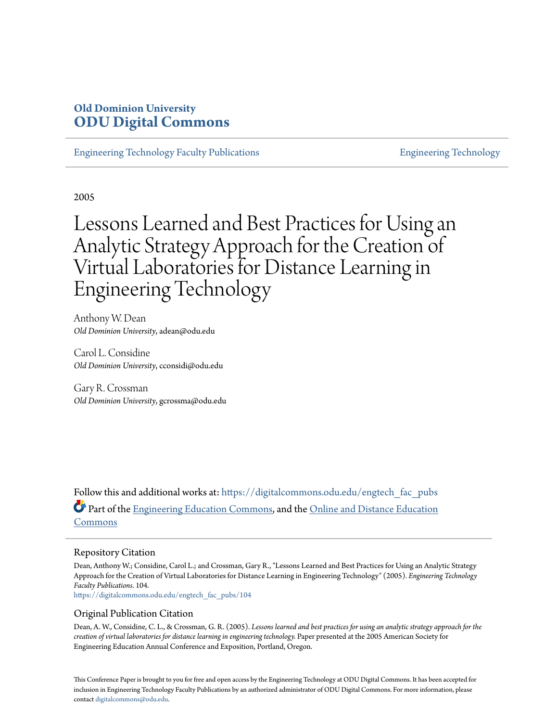# **Old Dominion University [ODU Digital Commons](https://digitalcommons.odu.edu?utm_source=digitalcommons.odu.edu%2Fengtech_fac_pubs%2F104&utm_medium=PDF&utm_campaign=PDFCoverPages)**

[Engineering Technology Faculty Publications](https://digitalcommons.odu.edu/engtech_fac_pubs?utm_source=digitalcommons.odu.edu%2Fengtech_fac_pubs%2F104&utm_medium=PDF&utm_campaign=PDFCoverPages) [Engineering Technology](https://digitalcommons.odu.edu/engtech?utm_source=digitalcommons.odu.edu%2Fengtech_fac_pubs%2F104&utm_medium=PDF&utm_campaign=PDFCoverPages)

2005

# Lessons Learned and Best Practices for Using an Analytic Strategy Approach for the Creation of Virtual Laboratories for Distance Learning in Engineering Technology

Anthony W. Dean *Old Dominion University*, adean@odu.edu

Carol L. Considine *Old Dominion University*, cconsidi@odu.edu

Gary R. Crossman *Old Dominion University*, gcrossma@odu.edu

Follow this and additional works at: [https://digitalcommons.odu.edu/engtech\\_fac\\_pubs](https://digitalcommons.odu.edu/engtech_fac_pubs?utm_source=digitalcommons.odu.edu%2Fengtech_fac_pubs%2F104&utm_medium=PDF&utm_campaign=PDFCoverPages) Part of the [Engineering Education Commons](http://network.bepress.com/hgg/discipline/1191?utm_source=digitalcommons.odu.edu%2Fengtech_fac_pubs%2F104&utm_medium=PDF&utm_campaign=PDFCoverPages), and the [Online and Distance Education](http://network.bepress.com/hgg/discipline/1296?utm_source=digitalcommons.odu.edu%2Fengtech_fac_pubs%2F104&utm_medium=PDF&utm_campaign=PDFCoverPages) [Commons](http://network.bepress.com/hgg/discipline/1296?utm_source=digitalcommons.odu.edu%2Fengtech_fac_pubs%2F104&utm_medium=PDF&utm_campaign=PDFCoverPages)

#### Repository Citation

Dean, Anthony W.; Considine, Carol L.; and Crossman, Gary R., "Lessons Learned and Best Practices for Using an Analytic Strategy Approach for the Creation of Virtual Laboratories for Distance Learning in Engineering Technology" (2005). *Engineering Technology Faculty Publications*. 104.

[https://digitalcommons.odu.edu/engtech\\_fac\\_pubs/104](https://digitalcommons.odu.edu/engtech_fac_pubs/104?utm_source=digitalcommons.odu.edu%2Fengtech_fac_pubs%2F104&utm_medium=PDF&utm_campaign=PDFCoverPages)

#### Original Publication Citation

Dean, A. W., Considine, C. L., & Crossman, G. R. (2005). *Lessons learned and best practices for using an analytic strategy approach for the creation of virtual laboratories for distance learning in engineering technology.* Paper presented at the 2005 American Society for Engineering Education Annual Conference and Exposition, Portland, Oregon.

This Conference Paper is brought to you for free and open access by the Engineering Technology at ODU Digital Commons. It has been accepted for inclusion in Engineering Technology Faculty Publications by an authorized administrator of ODU Digital Commons. For more information, please contact [digitalcommons@odu.edu](mailto:digitalcommons@odu.edu).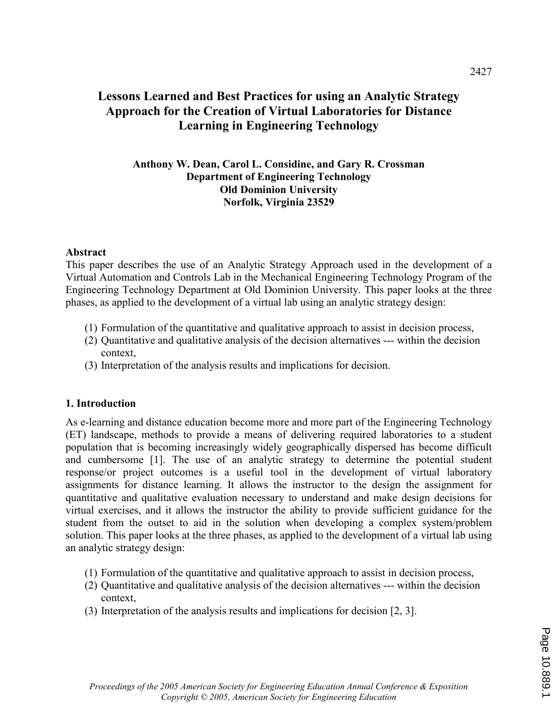## Lessons Learned and Best Practices for using an Analytic Strategy Approach for the Creation of Virtual Laboratories for Distance Learning in Engineering Technology

#### Anthony W. Dean, Carol L. Considine, and Gary R. Crossman Department of Engineering Technology Old Dominion University Norfolk, Virginia 23529

#### Abstract

This paper describes the use of an Analytic Strategy Approach used in the development of a Virtual Automation and Controls Lab in the Mechanical Engineering Technology Program of the Engineering Technology Department at Old Dominion University. This paper looks at the three phases, as applied to the development of a virtual lab using an analytic strategy design:

- (1) Formulation of the quantitative and qualitative approach to assist in decision process,
- (2) Quantitative and qualitative analysis of the decision alternatives --- within the decision context,
- (3) Interpretation of the analysis results and implications for decision.

#### 1. Introduction

As e-learning and distance education become more and more part of the Engineering Technology (ET) landscape, methods to provide a means of delivering required laboratories to a student population that is becoming increasingly widely geographically dispersed has become difficult and cumbersome [1]. The use of an analytic strategy to determine the potential student response/or project outcomes is a useful tool in the development of virtual laboratory assignments for distance learning. It allows the instructor to the design the assignment for quantitative and qualitative evaluation necessary to understand and make design decisions for virtual exercises, and it allows the instructor the ability to provide sufficient guidance for the student from the outset to aid in the solution when developing a complex system/problem solution. This paper looks at the three phases, as applied to the development of a virtual lab using an analytic strategy design:

- (1) Formulation of the quantitative and qualitative approach to assist in decision process,
- (2) Quantitative and qualitative analysis of the decision alternatives --- within the decision context,
- (3) Interpretation of the analysis results and implications for decision [2, 3].

2427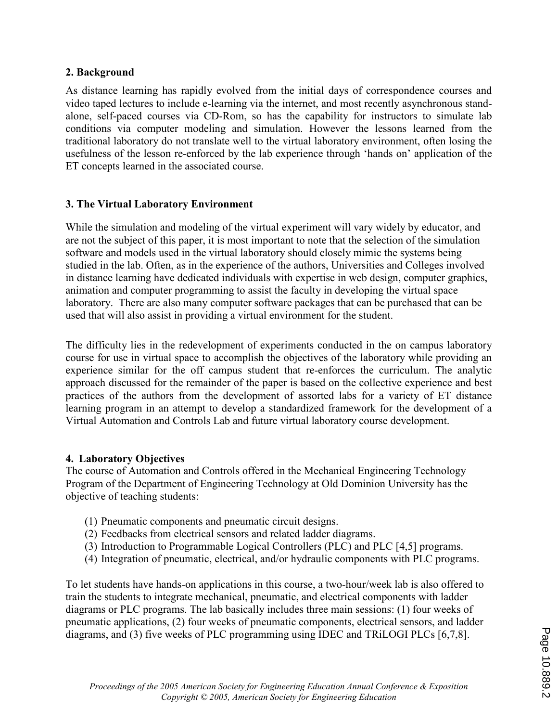#### 2. Background

As distance learning has rapidly evolved from the initial days of correspondence courses and video taped lectures to include e-learning via the internet, and most recently asynchronous standalone, self-paced courses via CD-Rom, so has the capability for instructors to simulate lab conditions via computer modeling and simulation. However the lessons learned from the traditional laboratory do not translate well to the virtual laboratory environment, often losing the usefulness of the lesson re-enforced by the lab experience through 'hands on' application of the ET concepts learned in the associated course.

## 3. The Virtual Laboratory Environment

While the simulation and modeling of the virtual experiment will vary widely by educator, and are not the subject of this paper, it is most important to note that the selection of the simulation software and models used in the virtual laboratory should closely mimic the systems being studied in the lab. Often, as in the experience of the authors, Universities and Colleges involved in distance learning have dedicated individuals with expertise in web design, computer graphics, animation and computer programming to assist the faculty in developing the virtual space laboratory. There are also many computer software packages that can be purchased that can be used that will also assist in providing a virtual environment for the student.

The difficulty lies in the redevelopment of experiments conducted in the on campus laboratory course for use in virtual space to accomplish the objectives of the laboratory while providing an experience similar for the off campus student that re-enforces the curriculum. The analytic approach discussed for the remainder of the paper is based on the collective experience and best practices of the authors from the development of assorted labs for a variety of ET distance learning program in an attempt to develop a standardized framework for the development of a Virtual Automation and Controls Lab and future virtual laboratory course development.

## 4. Laboratory Objectives

The course of Automation and Controls offered in the Mechanical Engineering Technology Program of the Department of Engineering Technology at Old Dominion University has the objective of teaching students:

- (1) Pneumatic components and pneumatic circuit designs.
- (2) Feedbacks from electrical sensors and related ladder diagrams.
- (3) Introduction to Programmable Logical Controllers (PLC) and PLC [4,5] programs.
- (4) Integration of pneumatic, electrical, and/or hydraulic components with PLC programs.

To let students have hands-on applications in this course, a two-hour/week lab is also offered to train the students to integrate mechanical, pneumatic, and electrical components with ladder diagrams or PLC programs. The lab basically includes three main sessions: (1) four weeks of pneumatic applications, (2) four weeks of pneumatic components, electrical sensors, and ladder diagrams, and (3) five weeks of PLC programming using IDEC and TRiLOGI PLCs [6,7,8].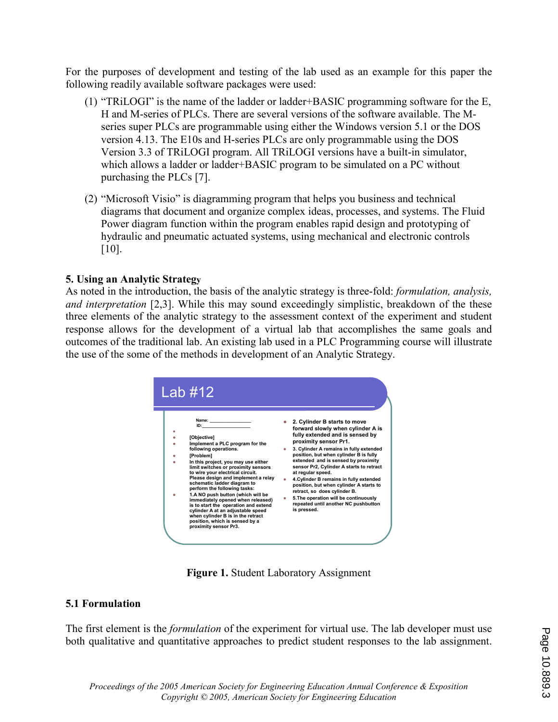For the purposes of development and testing of the lab used as an example for this paper the following readily available software packages were used:

- (1) "TRiLOGI" is the name of the ladder or ladder+BASIC programming software for the E, H and M-series of PLCs. There are several versions of the software available. The Mseries super PLCs are programmable using either the Windows version 5.1 or the DOS version 4.13. The E10s and H-series PLCs are only programmable using the DOS Version 3.3 of TRiLOGI program. All TRiLOGI versions have a built-in simulator, which allows a ladder or ladder+BASIC program to be simulated on a PC without purchasing the PLCs [7].
- (2) "Microsoft Visio" is diagramming program that helps you business and technical diagrams that document and organize complex ideas, processes, and systems. The Fluid Power diagram function within the program enables rapid design and prototyping of hydraulic and pneumatic actuated systems, using mechanical and electronic controls [10].

## 5. Using an Analytic Strategy

As noted in the introduction, the basis of the analytic strategy is three-fold: formulation, analysis, and interpretation [2,3]. While this may sound exceedingly simplistic, breakdown of the these three elements of the analytic strategy to the assessment context of the experiment and student response allows for the development of a virtual lab that accomplishes the same goals and outcomes of the traditional lab. An existing lab used in a PLC Programming course will illustrate the use of the some of the methods in development of an Analytic Strategy.



Figure 1. Student Laboratory Assignment

## 5.1 Formulation

The first element is the *formulation* of the experiment for virtual use. The lab developer must use both qualitative and quantitative approaches to predict student responses to the lab assignment.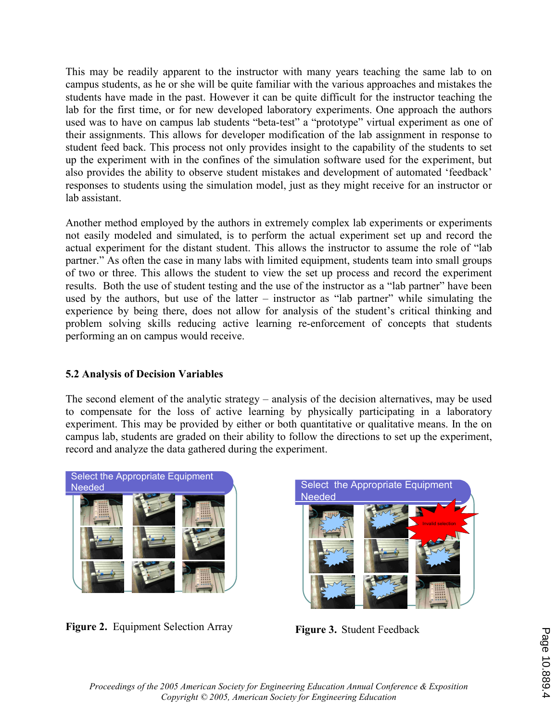This may be readily apparent to the instructor with many years teaching the same lab to on campus students, as he or she will be quite familiar with the various approaches and mistakes the students have made in the past. However it can be quite difficult for the instructor teaching the lab for the first time, or for new developed laboratory experiments. One approach the authors used was to have on campus lab students "beta-test" a "prototype" virtual experiment as one of their assignments. This allows for developer modification of the lab assignment in response to student feed back. This process not only provides insight to the capability of the students to set up the experiment with in the confines of the simulation software used for the experiment, but also provides the ability to observe student mistakes and development of automated 'feedback' responses to students using the simulation model, just as they might receive for an instructor or lab assistant.

Another method employed by the authors in extremely complex lab experiments or experiments not easily modeled and simulated, is to perform the actual experiment set up and record the actual experiment for the distant student. This allows the instructor to assume the role of "lab partner." As often the case in many labs with limited equipment, students team into small groups of two or three. This allows the student to view the set up process and record the experiment results. Both the use of student testing and the use of the instructor as a "lab partner" have been used by the authors, but use of the latter – instructor as "lab partner" while simulating the experience by being there, does not allow for analysis of the student's critical thinking and problem solving skills reducing active learning re-enforcement of concepts that students performing an on campus would receive.

## 5.2 Analysis of Decision Variables

The second element of the analytic strategy – analysis of the decision alternatives, may be used to compensate for the loss of active learning by physically participating in a laboratory experiment. This may be provided by either or both quantitative or qualitative means. In the on campus lab, students are graded on their ability to follow the directions to set up the experiment, record and analyze the data gathered during the experiment.



Figure 2. Equipment Selection Array



Figure 3. Student Feedback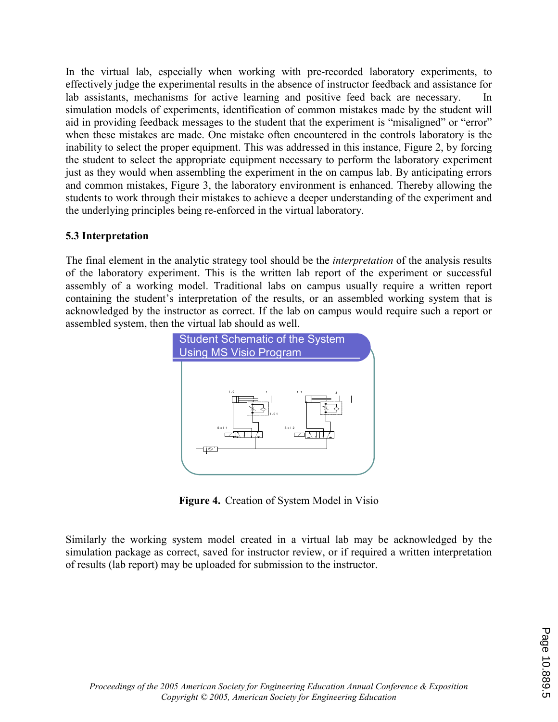In the virtual lab, especially when working with pre-recorded laboratory experiments, to effectively judge the experimental results in the absence of instructor feedback and assistance for lab assistants, mechanisms for active learning and positive feed back are necessary. In simulation models of experiments, identification of common mistakes made by the student will aid in providing feedback messages to the student that the experiment is "misaligned" or "error" when these mistakes are made. One mistake often encountered in the controls laboratory is the inability to select the proper equipment. This was addressed in this instance, Figure 2, by forcing the student to select the appropriate equipment necessary to perform the laboratory experiment just as they would when assembling the experiment in the on campus lab. By anticipating errors and common mistakes, Figure 3, the laboratory environment is enhanced. Thereby allowing the students to work through their mistakes to achieve a deeper understanding of the experiment and the underlying principles being re-enforced in the virtual laboratory.

## 5.3 Interpretation

The final element in the analytic strategy tool should be the interpretation of the analysis results of the laboratory experiment. This is the written lab report of the experiment or successful assembly of a working model. Traditional labs on campus usually require a written report containing the student's interpretation of the results, or an assembled working system that is acknowledged by the instructor as correct. If the lab on campus would require such a report or assembled system, then the virtual lab should as well.



Figure 4. Creation of System Model in Visio

Similarly the working system model created in a virtual lab may be acknowledged by the simulation package as correct, saved for instructor review, or if required a written interpretation of results (lab report) may be uploaded for submission to the instructor.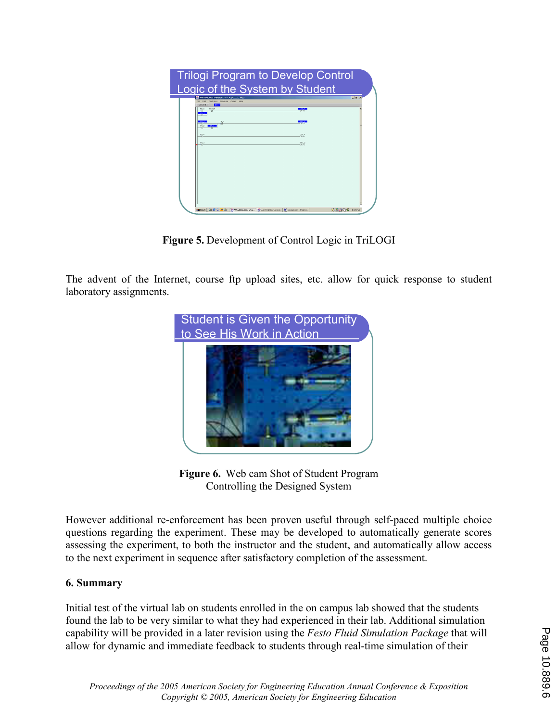| <b>Trilogi Program to Develop Control</b><br>Logic of the System by Student |                                                                                                                                                              |                                                                       |                  |
|-----------------------------------------------------------------------------|--------------------------------------------------------------------------------------------------------------------------------------------------------------|-----------------------------------------------------------------------|------------------|
| 坚                                                                           | WWW.TRiLOGI Version 3.5 - A 1A C.PE3<br>File Edit Controller Simulate Circuit Help<br><b>Effe</b><br>Circuit#4<br>EFISET<br>٠H<br>-41-<br>유리<br><b>COLOR</b> | $-$ cn $+$<br>$-1111$<br><b>SOL 5</b><br><b>TOUT</b><br>08.2<br>CLY'S | $  e $ x         |
| 單                                                                           |                                                                                                                                                              | sor o<br>HDU TI                                                       |                  |
|                                                                             | Bistart [3] @ C [B G]   N WinTRiLOGI Ver @ WinTRiLOGI Versio.                                                                                                | B01Document1 - Micros                                                 | J 第 2% へい 507 PM |

Figure 5. Development of Control Logic in TriLOGI

The advent of the Internet, course ftp upload sites, etc. allow for quick response to student laboratory assignments.



Figure 6. Web cam Shot of Student Program Controlling the Designed System

However additional re-enforcement has been proven useful through self-paced multiple choice questions regarding the experiment. These may be developed to automatically generate scores assessing the experiment, to both the instructor and the student, and automatically allow access to the next experiment in sequence after satisfactory completion of the assessment.

## 6. Summary

Initial test of the virtual lab on students enrolled in the on campus lab showed that the students found the lab to be very similar to what they had experienced in their lab. Additional simulation capability will be provided in a later revision using the Festo Fluid Simulation Package that will allow for dynamic and immediate feedback to students through real-time simulation of their